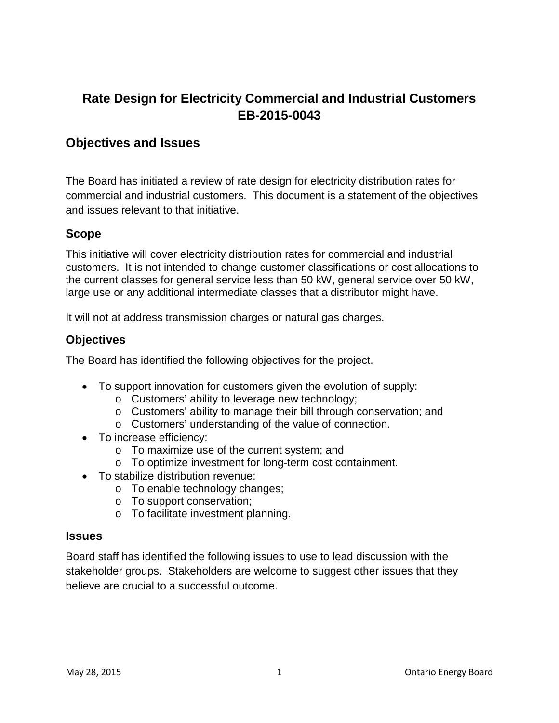# **Rate Design for Electricity Commercial and Industrial Customers EB-2015-0043**

## **Objectives and Issues**

The Board has initiated a review of rate design for electricity distribution rates for commercial and industrial customers. This document is a statement of the objectives and issues relevant to that initiative.

#### **Scope**

This initiative will cover electricity distribution rates for commercial and industrial customers. It is not intended to change customer classifications or cost allocations to the current classes for general service less than 50 kW, general service over 50 kW, large use or any additional intermediate classes that a distributor might have.

It will not at address transmission charges or natural gas charges.

### **Objectives**

The Board has identified the following objectives for the project.

- To support innovation for customers given the evolution of supply:
	- o Customers' ability to leverage new technology;
	- o Customers' ability to manage their bill through conservation; and
	- o Customers' understanding of the value of connection.
- To increase efficiency:
	- o To maximize use of the current system; and
	- o To optimize investment for long-term cost containment.
- To stabilize distribution revenue:
	- o To enable technology changes;
	- o To support conservation;
	- o To facilitate investment planning.

#### **Issues**

Board staff has identified the following issues to use to lead discussion with the stakeholder groups. Stakeholders are welcome to suggest other issues that they believe are crucial to a successful outcome.